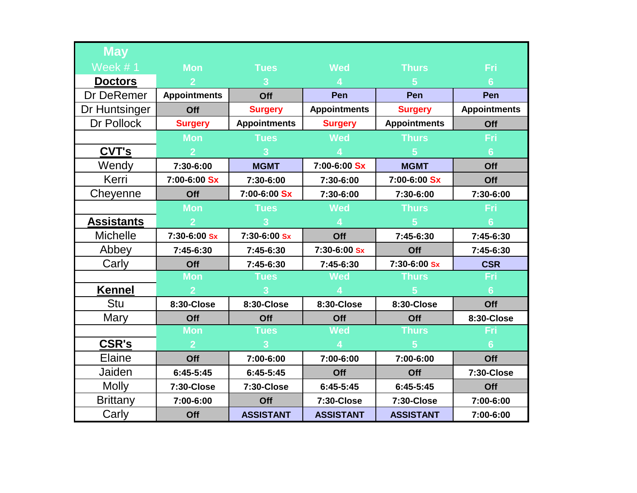| <b>May</b>        |                     |                     |                     |                     |                     |
|-------------------|---------------------|---------------------|---------------------|---------------------|---------------------|
| Week #1           | <b>Mon</b>          | <b>Tues</b>         | <b>Wed</b>          | <b>Thurs</b>        | Fri                 |
| <b>Doctors</b>    |                     | 3                   |                     | 5 <sup>5</sup>      | 6                   |
| Dr DeRemer        | <b>Appointments</b> | Off                 | Pen                 | Pen                 | Pen                 |
| Dr Huntsinger     | Off                 | <b>Surgery</b>      | <b>Appointments</b> | <b>Surgery</b>      | <b>Appointments</b> |
| Dr Pollock        | <b>Surgery</b>      | <b>Appointments</b> | <b>Surgery</b>      | <b>Appointments</b> | Off                 |
|                   | <b>Mon</b>          | <b>Tues</b>         | <b>Wed</b>          | <b>Thurs</b>        | Fri                 |
| CVT's             |                     | $\overline{3}$      |                     | $5\overline{)}$     | $6\phantom{1}$      |
| Wendy             | 7:30-6:00           | <b>MGMT</b>         | 7:00-6:00 Sx        | <b>MGMT</b>         | Off                 |
| Kerri             | 7:00-6:00 Sx        | 7:30-6:00           | 7:30-6:00           | 7:00-6:00 Sx        | Off                 |
| Cheyenne          | Off                 | 7:00-6:00 Sx        | 7:30-6:00           | 7:30-6:00           | 7:30-6:00           |
|                   | <b>Mon</b>          | <b>Tues</b>         | <b>Wed</b>          | <b>Thurs</b>        | Fri                 |
| <b>Assistants</b> | $\overline{2}$      | $\overline{3}$      | $\overline{4}$      | 5 <sup>1</sup>      | $6\phantom{1}$      |
| <b>Michelle</b>   | 7:30-6:00 Sx        | 7:30-6:00 Sx        | Off                 | 7:45-6:30           | 7:45-6:30           |
| Abbey             | 7:45-6:30           | 7:45-6:30           | 7:30-6:00 Sx        | Off                 | 7:45-6:30           |
| Carly             | Off                 | 7:45-6:30           | 7:45-6:30           | 7:30-6:00 Sx        | <b>CSR</b>          |
|                   | <b>Mon</b>          | <b>Tues</b>         | <b>Wed</b>          | <b>Thurs</b>        | Fri                 |
| <b>Kennel</b>     | $\overline{2}$      |                     |                     |                     | $6\phantom{1}$      |
| Stu               | 8:30-Close          | 8:30-Close          | 8:30-Close          | 8:30-Close          | Off                 |
| <b>Mary</b>       | Off                 | Off                 | Off                 | Off                 | 8:30-Close          |
|                   | <b>Mon</b>          | <b>Tues</b>         | <b>Wed</b>          | <b>Thurs</b>        | Fri                 |
| CSR's             | $\overline{2}$      | $\overline{3}$      | $\boldsymbol{4}$    | 5 <sup>1</sup>      | $6\phantom{1}$      |
| <b>Elaine</b>     | Off                 | 7:00-6:00           | 7:00-6:00           | 7:00-6:00           | Off                 |
| Jaiden            | 6:45-5:45           | 6:45-5:45           | Off                 | Off                 | 7:30-Close          |
| <b>Molly</b>      | 7:30-Close          | 7:30-Close          | $6:45-5:45$         | 6:45-5:45           | Off                 |
| <b>Brittany</b>   | 7:00-6:00           | Off                 | 7:30-Close          | 7:30-Close          | 7:00-6:00           |
| Carly             | Off                 | <b>ASSISTANT</b>    | <b>ASSISTANT</b>    | <b>ASSISTANT</b>    | 7:00-6:00           |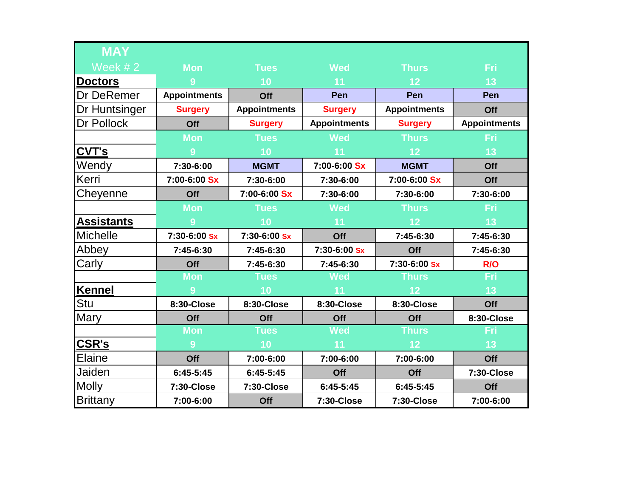| <b>MAY</b>        |                     |                     |                     |                     |                     |
|-------------------|---------------------|---------------------|---------------------|---------------------|---------------------|
| Week $# 2$        | <b>Mon</b>          | <b>Tues</b>         | <b>Wed</b>          | <b>Thurs</b>        | <b>Fri</b>          |
| <b>Doctors</b>    | 9                   | 10                  | 11                  | 12                  | 13                  |
| Dr DeRemer        | <b>Appointments</b> | Off                 | Pen                 | Pen                 | Pen                 |
| Dr Huntsinger     | <b>Surgery</b>      | <b>Appointments</b> | <b>Surgery</b>      | <b>Appointments</b> | Off                 |
| Dr Pollock        | Off                 | <b>Surgery</b>      | <b>Appointments</b> | <b>Surgery</b>      | <b>Appointments</b> |
|                   | <b>Mon</b>          | <b>Tues</b>         | <b>Wed</b>          | <b>Thurs</b>        | Fri                 |
| CVT's             | 9                   | 10                  | 11                  | 12                  | 13                  |
| Wendy             | 7:30-6:00           | <b>MGMT</b>         | 7:00-6:00 Sx        | <b>MGMT</b>         | Off                 |
| Kerri             | 7:00-6:00 Sx        | 7:30-6:00           | 7:30-6:00           | 7:00-6:00 Sx        | Off                 |
| Cheyenne          | Off                 | 7:00-6:00 Sx        | 7:30-6:00           | 7:30-6:00           | 7:30-6:00           |
|                   | <b>Mon</b>          | <b>Tues</b>         | <b>Wed</b>          | <b>Thurs</b>        | <b>Fri</b>          |
| <b>Assistants</b> | 9                   | 10                  | 11                  | 12                  | 13                  |
| <b>Michelle</b>   | 7:30-6:00 Sx        | 7:30-6:00 Sx        | Off                 | 7:45-6:30           | 7:45-6:30           |
| Abbey             | 7:45-6:30           | 7:45-6:30           | 7:30-6:00 Sx        | Off                 | 7:45-6:30           |
| Carly             | Off                 | 7:45-6:30           | 7:45-6:30           | 7:30-6:00 Sx        | R/O                 |
|                   | <b>Mon</b>          | <b>Tues</b>         | <b>Wed</b>          | <b>Thurs</b>        | Fri                 |
| <b>Kennel</b>     | 9                   | 10                  | 11                  | 12                  | 13                  |
| Stu               | 8:30-Close          | 8:30-Close          | 8:30-Close          | 8:30-Close          | Off                 |
| Mary              | Off                 | Off                 | Off                 | Off                 | 8:30-Close          |
|                   | <b>Mon</b>          | <b>Tues</b>         | <b>Wed</b>          | <b>Thurs</b>        | Fri                 |
| <b>CSR's</b>      | 9                   | 10                  | 11                  | 12                  | 13                  |
| Elaine            | Off                 | 7:00-6:00           | 7:00-6:00           | 7:00-6:00           | Off                 |
| Jaiden            | 6:45-5:45           | $6:45-5:45$         | Off                 | Off                 | <b>7:30-Close</b>   |
| <b>Molly</b>      | 7:30-Close          | 7:30-Close          | 6:45-5:45           | $6:45-5:45$         | Off                 |
| <b>Brittany</b>   | 7:00-6:00           | Off                 | 7:30-Close          | 7:30-Close          | 7:00-6:00           |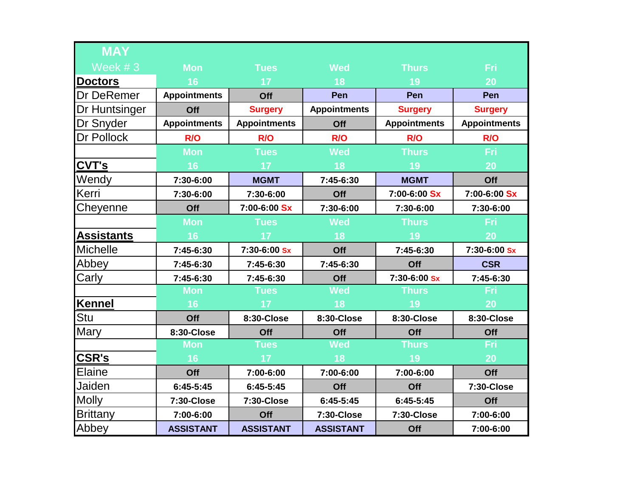| <b>MAY</b>        |                     |                     |                     |                     |                     |
|-------------------|---------------------|---------------------|---------------------|---------------------|---------------------|
| Week #3           | <b>Mon</b>          | <b>Tues</b>         | <b>Wed</b>          | <b>Thurs</b>        | Fri                 |
| <b>Doctors</b>    | 16                  | 17                  | 18                  | 19                  | 20                  |
| Dr DeRemer        | <b>Appointments</b> | Off                 | Pen                 | Pen                 | Pen                 |
| Dr Huntsinger     | Off                 | <b>Surgery</b>      | <b>Appointments</b> | <b>Surgery</b>      | <b>Surgery</b>      |
| Dr Snyder         | <b>Appointments</b> | <b>Appointments</b> | Off                 | <b>Appointments</b> | <b>Appointments</b> |
| Dr Pollock        | R/O                 | R/O                 | R/O                 | R/O                 | R/O                 |
|                   | <b>Mon</b>          | <b>Tues</b>         | <b>Wed</b>          | <b>Thurs</b>        | Fri                 |
| CVT's             | 16                  | 17                  | 18                  | 19                  | 20                  |
| Wendy             | 7:30-6:00           | <b>MGMT</b>         | 7:45-6:30           | <b>MGMT</b>         | Off                 |
| Kerri             | 7:30-6:00           | 7:30-6:00           | Off                 | 7:00-6:00 Sx        | 7:00-6:00 Sx        |
| Cheyenne          | Off                 | 7:00-6:00 Sx        | 7:30-6:00           | 7:30-6:00           | 7:30-6:00           |
|                   | <b>Mon</b>          | <b>Tues</b>         | <b>Wed</b>          | <b>Thurs</b>        | Fri                 |
| <b>Assistants</b> | 16                  | 17                  | 18                  | 19                  | 20                  |
| <b>Michelle</b>   | 7:45-6:30           | 7:30-6:00 Sx        | Off                 | 7:45-6:30           | 7:30-6:00 Sx        |
| Abbey             | 7:45-6:30           | 7:45-6:30           | 7:45-6:30           | Off                 | <b>CSR</b>          |
| Carly             | 7:45-6:30           | 7:45-6:30           | Off                 | 7:30-6:00 Sx        | 7:45-6:30           |
|                   | <b>Mon</b>          | <b>Tues</b>         | <b>Wed</b>          | <b>Thurs</b>        | <b>Fri</b>          |
| <b>Kennel</b>     | 16                  | 17                  | 18                  | 19                  | 20                  |
| Stu               | Off                 | 8:30-Close          | 8:30-Close          | 8:30-Close          | 8:30-Close          |
| Mary              | 8:30-Close          | Off                 | Off                 | Off                 | Off                 |
|                   | <b>Mon</b>          | <b>Tues</b>         | <b>Wed</b>          | <b>Thurs</b>        | Fri                 |
| <b>CSR's</b>      | 16                  | 17                  | 18                  | 19                  | 20                  |
| Elaine            | Off                 | 7:00-6:00           | 7:00-6:00           | 7:00-6:00           | Off                 |
| Jaiden            | $6:45-5:45$         | $6:45-5:45$         | Off                 | Off                 | 7:30-Close          |
| <b>Molly</b>      | 7:30-Close          | 7:30-Close          | $6:45-5:45$         | $6:45-5:45$         | Off                 |
| <b>Brittany</b>   | 7:00-6:00           | Off                 | 7:30-Close          | 7:30-Close          | 7:00-6:00           |
| Abbey             | <b>ASSISTANT</b>    | <b>ASSISTANT</b>    | <b>ASSISTANT</b>    | Off                 | 7:00-6:00           |